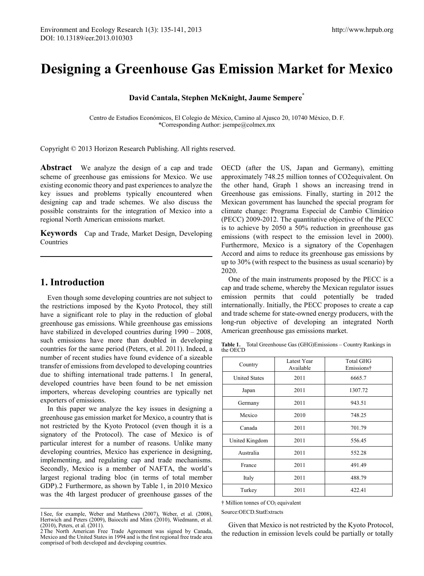# **Designing a Greenhouse Gas Emission Market for Mexico**

**David Cantala, Stephen McKnight, Jaume Sempere\***

Centro de Estudios Económicos, El Colegio de México, Camino al Ajusco 20, 10740 México, D. F. \*Corresponding Author: jsempe@colmex.mx

Copyright © 2013 Horizon Research Publishing. All rights reserved.

**Abstract** We analyze the design of a cap and trade scheme of greenhouse gas emissions for Mexico. We use existing economic theory and past experiences to analyze the key issues and problems typically encountered when designing cap and trade schemes. We also discuss the possible constraints for the integration of Mexico into a regional North American emissions market.

**Keywords** Cap and Trade, Market Design, Developing Countries

## **1. Introduction**

<u>.</u>

Even though some developing countries are not subject to the restrictions imposed by the Kyoto Protocol, they still have a significant role to play in the reduction of global greenhouse gas emissions. While greenhouse gas emissions have stabilized in developed countries during  $1990 - 2008$ , such emissions have more than doubled in developing countries for the same period (Peters, et al. 2011). Indeed, a number of recent studies have found evidence of a sizeable transfer of emissions from developed to developing countries due to shifting international trade patterns.[1](#page-0-0) In general, developed countries have been found to be net emission importers, whereas developing countries are typically net exporters of emissions.

In this paper we analyze the key issues in designing a greenhouse gas emission market for Mexico, a country that is not restricted by the Kyoto Protocol (even though it is a signatory of the Protocol). The case of Mexico is of particular interest for a number of reasons. Unlike many developing countries, Mexico has experience in designing, implementing, and regulating cap and trade mechanisms. Secondly, Mexico is a member of NAFTA, the world's largest regional trading bloc (in terms of total member GDP).[2](#page-0-1) Furthermore, as shown by Table 1, in 2010 Mexico was the 4th largest producer of greenhouse gasses of the OECD (after the US, Japan and Germany), emitting approximately 748.25 million tonnes of CO2equivalent. On the other hand, Graph 1 shows an increasing trend in Greenhouse gas emissions. Finally, starting in 2012 the Mexican government has launched the special program for climate change: Programa Especial de Cambio Climático (PECC) 2009-2012. The quantitative objective of the PECC is to achieve by 2050 a 50% reduction in greenhouse gas emissions (with respect to the emission level in 2000). Furthermore, Mexico is a signatory of the Copenhagen Accord and aims to reduce its greenhouse gas emissions by up to 30% (with respect to the business as usual scenario) by 2020.

One of the main instruments proposed by the PECC is a cap and trade scheme, whereby the Mexican regulator issues emission permits that could potentially be traded internationally. Initially, the PECC proposes to create a cap and trade scheme for state-owned energy producers, with the long-run objective of developing an integrated North American greenhouse gas emissions market.

**Table 1.** Total Greenhouse Gas (GHG)Emissions – Country Rankings in the OECD

| Country              | Latest Year<br>Available | <b>Total GHG</b><br>Emissions† |
|----------------------|--------------------------|--------------------------------|
| <b>United States</b> | 2011                     | 6665.7                         |
| Japan                | 2011                     | 1307.72                        |
| Germany              | 2011                     | 943.51                         |
| Mexico               | 2010                     | 748.25                         |
| Canada               | 2011                     | 701.79                         |
| United Kingdom       | 2011                     | 556.45                         |
| Australia            | 2011                     | 552.28                         |
| France               | 2011                     | 491.49                         |
| Italy                | 2011                     | 488.79                         |
| Turkey               | 2011                     | 422.41                         |

 $\dagger$  Million tonnes of CO<sub>2</sub> equivalent

Source:OECD.StatExtracts

Given that Mexico is not restricted by the Kyoto Protocol, the reduction in emission levels could be partially or totally

<span id="page-0-0"></span><sup>1</sup>See, for example, Weber and Matthews (2007), Weber, et al. (2008), Hertwich and Peters (2009), Baiocchi and Minx (2010), Wiedmann, et al. (2010), Peters, et al. (2011).

<span id="page-0-1"></span><sup>2</sup>The North American Free Trade Agreement was signed by Canada, Mexico and the United States in 1994 and is the first regional free trade area comprised of both developed and developing countries.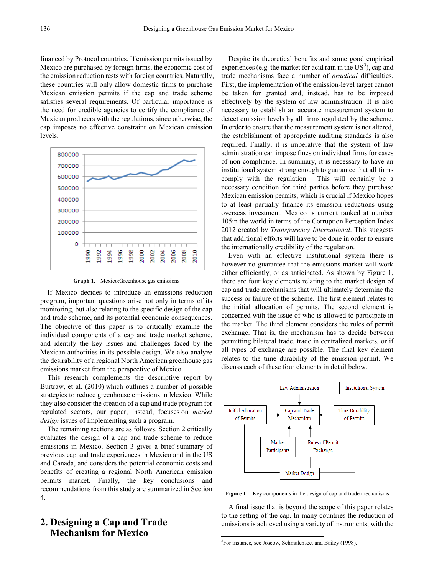financed by Protocol countries. If emission permits issued by Mexico are purchased by foreign firms, the economic cost of the emission reduction rests with foreign countries. Naturally, these countries will only allow domestic firms to purchase Mexican emission permits if the cap and trade scheme satisfies several requirements. Of particular importance is the need for credible agencies to certify the compliance of Mexican producers with the regulations, since otherwise, the cap imposes no effective constraint on Mexican emission levels.





If Mexico decides to introduce an emissions reduction program, important questions arise not only in terms of its monitoring, but also relating to the specific design of the cap and trade scheme, and its potential economic consequences. The objective of this paper is to critically examine the individual components of a cap and trade market scheme, and identify the key issues and challenges faced by the Mexican authorities in its possible design. We also analyze the desirability of a regional North American greenhouse gas emissions market from the perspective of Mexico.

This research complements the descriptive report by Burtraw, et al. (2010) which outlines a number of possible strategies to reduce greenhouse emissions in Mexico. While they also consider the creation of a cap and trade program for regulated sectors, our paper, instead, focuses on *market design* issues of implementing such a program.

The remaining sections are as follows. Section 2 critically evaluates the design of a cap and trade scheme to reduce emissions in Mexico. Section 3 gives a brief summary of previous cap and trade experiences in Mexico and in the US and Canada, and considers the potential economic costs and benefits of creating a regional North American emission permits market. Finally, the key conclusions and recommendations from this study are summarized in Section 4.

# <span id="page-1-0"></span>**2. Designing a Cap and Trade Mechanism for Mexico**

Despite its theoretical benefits and some good empirical experiences (e.g. the market for acid rain in the  $US^3$  $US^3$ ), cap and trade mechanisms face a number of *practical* difficulties. First, the implementation of the emission-level target cannot be taken for granted and, instead, has to be imposed effectively by the system of law administration. It is also necessary to establish an accurate measurement system to detect emission levels by all firms regulated by the scheme. In order to ensure that the measurement system is not altered, the establishment of appropriate auditing standards is also required. Finally, it is imperative that the system of law administration can impose fines on individual firms for cases of non-compliance. In summary, it is necessary to have an institutional system strong enough to guarantee that all firms comply with the regulation. This will certainly be a necessary condition for third parties before they purchase Mexican emission permits, which is crucial if Mexico hopes to at least partially finance its emission reductions using overseas investment. Mexico is current ranked at number 105in the world in terms of the Corruption Perception Index 2012 created by *Transparency International*. This suggests that additional efforts will have to be done in order to ensure the internationally credibility of the regulation.

Even with an effective institutional system there is however no guarantee that the emissions market will work either efficiently, or as anticipated. As shown by Figure 1, there are four key elements relating to the market design of cap and trade mechanisms that will ultimately determine the success or failure of the scheme. The first element relates to the initial allocation of permits. The second element is concerned with the issue of who is allowed to participate in the market. The third element considers the rules of permit exchange. That is, the mechanism has to decide between permitting bilateral trade, trade in centralized markets, or if all types of exchange are possible. The final key element relates to the time durability of the emission permit. We discuss each of these four elements in detail below.



**Figure 1.** Key components in the design of cap and trade mechanisms

A final issue that is beyond the scope of this paper relates to the setting of the cap. In many countries the reduction of emissions is achieved using a variety of instruments, with the

<u>.</u>

<sup>3</sup> For instance, see Joscow, Schmalensee, and Bailey (1998).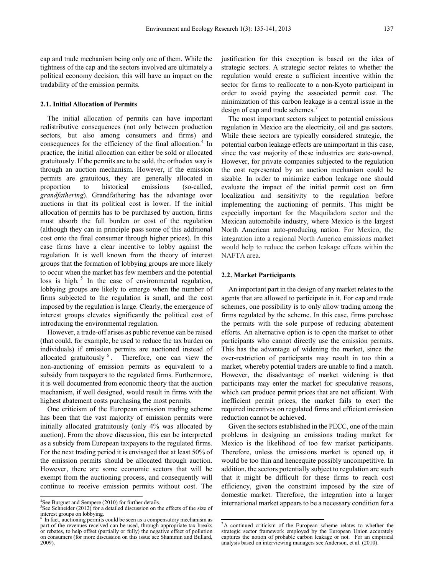cap and trade mechanism being only one of them. While the tightness of the cap and the sectors involved are ultimately a political economy decision, this will have an impact on the tradability of the emission permits.

#### **2.1. Initial Allocation of Permits**

The initial allocation of permits can have important redistributive consequences (not only between production sectors, but also among consumers and firms) and consequences for the efficiency of the final allocation.<sup>[4](#page-2-0)</sup> In practice, the initial allocation can either be sold or allocated gratuitously. If the permits are to be sold, the orthodox way is through an auction mechanism. However, if the emission permits are gratuitous, they are generally allocated in proportion to historical emissions (so-called, *grandfathering*). Grandfathering has the advantage over auctions in that its political cost is lower. If the initial allocation of permits has to be purchased by auction, firms must absorb the full burden or cost of the regulation (although they can in principle pass some of this additional cost onto the final consumer through higher prices). In this case firms have a clear incentive to lobby against the regulation. It is well known from the theory of interest groups that the formation of lobbying groups are more likely to occur when the market has few members and the potential loss is high. $5$  In the case of environmental regulation, lobbying groups are likely to emerge when the number of firms subjected to the regulation is small, and the cost imposed by the regulation is large. Clearly, the emergence of interest groups elevates significantly the political cost of introducing the environmental regulation.

However, a trade-off arises as public revenue can be raised (that could, for example, be used to reduce the tax burden on individuals) if emission permits are auctioned instead of allocated gratuitously  $6$ . Therefore, one can view the non-auctioning of emission permits as equivalent to a subsidy from taxpayers to the regulated firms. Furthermore, it is well documented from economic theory that the auction mechanism, if well designed, would result in firms with the highest abatement costs purchasing the most permits.

One criticism of the European emission trading scheme has been that the vast majority of emission permits were initially allocated gratuitously (only 4% was allocated by auction). From the above discussion, this can be interpreted as a subsidy from European taxpayers to the regulated firms. For the next trading period it is envisaged that at least 50% of the emission permits should be allocated through auction. However, there are some economic sectors that will be exempt from the auctioning process, and consequently will continue to receive emission permits without cost. The

 $\frac{1}{2}$ 

justification for this exception is based on the idea of strategic sectors. A strategic sector relates to whether the regulation would create a sufficient incentive within the sector for firms to reallocate to a non-Kyoto participant in order to avoid paying the associated permit cost. The minimization of this carbon leakage is a central issue in the design of cap and trade schemes.

The most important sectors subject to potential emissions regulation in Mexico are the electricity, oil and gas sectors. While these sectors are typically considered strategic, the potential carbon leakage effects are unimportant in this case, since the vast majority of these industries are state-owned. However, for private companies subjected to the regulation the cost represented by an auction mechanism could be sizable. In order to minimize carbon leakage one should evaluate the impact of the initial permit cost on firm localization and sensitivity to the regulation before implementing the auctioning of permits. This might be especially important for the Maquiladora sector and the Mexican automobile industry, where Mexico is the largest North American auto-producing nation. For Mexico, the integration into a regional North America emissions market would help to reduce the carbon leakage effects within the NAFTA area.

#### **2.2. Market Participants**

<u>.</u>

An important part in the design of any market relates to the agents that are allowed to participate in it. For cap and trade schemes, one possibility is to only allow trading among the firms regulated by the scheme. In this case, firms purchase the permits with the sole purpose of reducing abatement efforts. An alternative option is to open the market to other participants who cannot directly use the emission permits. This has the advantage of widening the market, since the over-restriction of participants may result in too thin a market, whereby potential traders are unable to find a match. However, the disadvantage of market widening is that participants may enter the market for speculative reasons, which can produce permit prices that are not efficient. With inefficient permit prices, the market fails to exert the required incentives on regulated firms and efficient emission reduction cannot be achieved.

Given the sectors established in the PECC, one of the main problems in designing an emissions trading market for Mexico is the likelihood of too few market participants. Therefore, unless the emissions market is opened up, it would be too thin and hencequite possibly uncompetitive. In addition, the sectors potentially subject to regulation are such that it might be difficult for these firms to reach cost efficiency, given the constraint imposed by the size of domestic market. Therefore, the integration into a larger international market appears to be a necessary condition for a

<span id="page-2-0"></span><sup>&</sup>lt;sup>4</sup>See Burguet and Sempere  $(2010)$  for further details.

<sup>&</sup>lt;sup>5</sup>See Schneider (2012) for a detailed discussion on the effects of the size of interest groups on lobbying.

<span id="page-2-1"></span><sup>&</sup>lt;sup>6</sup> In fact, auctioning permits could be seen as a compensatory mechanism as part of the revenues received can be used, through appropriate tax breaks or rebates, to help offset (partially or fully) the negative effect of pollution on consumers (for more discussion on this issue see Shammin and Bullard, 2009).

<sup>7</sup> A continued criticism of the European scheme relates to whether the strategic sector framework employed by the European Union accurately captures the notion of probable carbon leakage or not. For an empirical analysis based on interviewing managers see Anderson, et al. (2010).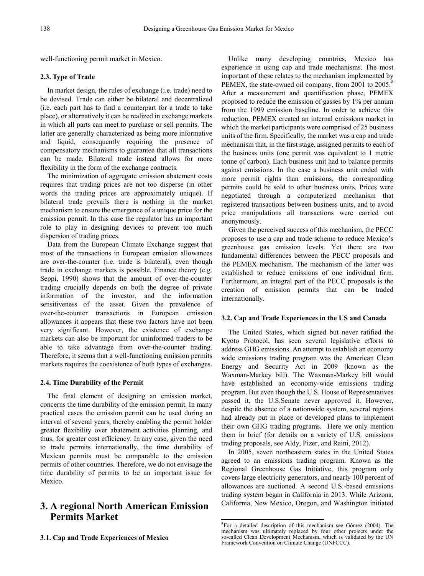well-functioning permit market in Mexico.

### **2.3. Type of Trade**

In market design, the rules of exchange (i.e. trade) need to be devised. Trade can either be bilateral and decentralized (i.e. each part has to find a counterpart for a trade to take place), or alternatively it can be realized in exchange markets in which all parts can meet to purchase or sell permits. The latter are generally characterized as being more informative and liquid, consequently requiring the presence of compensatory mechanisms to guarantee that all transactions can be made. Bilateral trade instead allows for more flexibility in the form of the exchange contracts.

The minimization of aggregate emission abatement costs requires that trading prices are not too disperse (in other words the trading prices are approximately unique). If bilateral trade prevails there is nothing in the market mechanism to ensure the emergence of a unique price for the emission permit. In this case the regulator has an important role to play in designing devices to prevent too much dispersion of trading prices.

Data from the European Climate Exchange suggest that most of the transactions in European emission allowances are over-the-counter (i.e. trade is bilateral), even though trade in exchange markets is possible. Finance theory (e.g. Seppi, 1990) shows that the amount of over-the-counter trading crucially depends on both the degree of private information of the investor, and the information sensitiveness of the asset. Given the prevalence of over-the-counter transactions in European emission allowances it appears that these two factors have not been very significant. However, the existence of exchange markets can also be important for uninformed traders to be able to take advantage from over-the-counter trading. Therefore, it seems that a well-functioning emission permits markets requires the coexistence of both types of exchanges.

### **2.4. Time Durability of the Permit**

The final element of designing an emission market, concerns the time durability of the emission permit. In many practical cases the emission permit can be used during an interval of several years, thereby enabling the permit holder greater flexibility over abatement activities planning, and thus, for greater cost efficiency. In any case, given the need to trade permits internationally, the time durability of Mexican permits must be comparable to the emission permits of other countries. Therefore, we do not envisage the time durability of permits to be an important issue for Mexico.

# <span id="page-3-0"></span>**3. A regional North American Emission Permits Market**

Unlike many developing countries, Mexico has experience in using cap and trade mechanisms. The most important of these relates to the mechanism implemented by PEMEX, the state-owned oil company, from 2001 to 2005.<sup>[8](#page-3-0)</sup> After a measurement and quantification phase, PEMEX proposed to reduce the emission of gasses by 1% per annum from the 1999 emission baseline. In order to achieve this reduction, PEMEX created an internal emissions market in which the market participants were comprised of 25 business units of the firm. Specifically, the market was a cap and trade mechanism that, in the first stage, assigned permits to each of the business units (one permit was equivalent to 1 metric tonne of carbon). Each business unit had to balance permits against emissions. In the case a business unit ended with more permit rights than emissions, the corresponding permits could be sold to other business units. Prices were negotiated through a computerized mechanism that registered transactions between business units, and to avoid price manipulations all transactions were carried out anonymously.

Given the perceived success of this mechanism, the PECC proposes to use a cap and trade scheme to reduce Mexico's greenhouse gas emission levels. Yet there are two fundamental differences between the PECC proposals and the PEMEX mechanism. The mechanism of the latter was established to reduce emissions of one individual firm. Furthermore, an integral part of the PECC proposals is the creation of emission permits that can be traded internationally.

#### **3.2. Cap and Trade Experiences in the US and Canada**

The United States, which signed but never ratified the Kyoto Protocol, has seen several legislative efforts to address GHG emissions. An attempt to establish an economy wide emissions trading program was the American Clean Energy and Security Act in 2009 (known as the Waxman-Markey bill). The Waxman-Markey bill would have established an economy-wide emissions trading program. But even though the U.S. House of Representatives passed it, the U.S.Senate never approved it. However, despite the absence of a nationwide system, several regions had already put in place or developed plans to implement their own GHG trading programs. Here we only mention them in brief (for details on a variety of U.S. emissions trading proposals, see Aldy, Pizer, and Raini, 2012).

In 2005, seven northeastern states in the United States agreed to an emissions trading program. Known as the Regional Greenhouse Gas Initiative, this program only covers large electricity generators, and nearly 100 percent of allowances are auctioned. A second U.S.-based emissions trading system began in California in 2013. While Arizona, California, New Mexico, Oregon, and Washington initiated

<u>.</u>

<sup>8</sup> For a detailed description of this mechanism see Gómez (2004). The mechanism was ultimately replaced by four other projects under the so-called Clean Development Mechanism, which is validated by the UN Framework Convention on Climate Change (UNFCCC).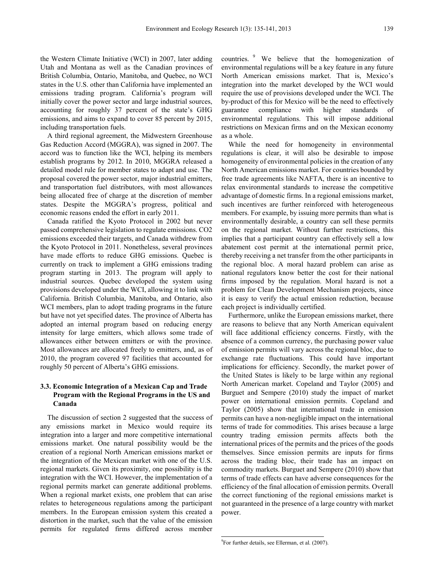the Western Climate Initiative (WCI) in 2007, later adding Utah and Montana as well as the Canadian provinces of British Columbia, Ontario, Manitoba, and Quebec, no WCI states in the U.S. other than California have implemented an emissions trading program. California's program will initially cover the power sector and large industrial sources, accounting for roughly 37 percent of the state's GHG emissions, and aims to expand to cover 85 percent by 2015, including transportation fuels.

A third regional agreement, the Midwestern Greenhouse Gas Reduction Accord (MGGRA), was signed in 2007. The accord was to function like the WCI, helping its members establish programs by 2012. In 2010, MGGRA released a detailed model rule for member states to adapt and use. The proposal covered the power sector, major industrial emitters, and transportation fuel distributors, with most allowances being allocated free of charge at the discretion of member states. Despite the MGGRA's progress, political and economic reasons ended the effort in early 2011.

Canada ratified the Kyoto Protocol in 2002 but never passed comprehensive legislation to regulate emissions. CO2 emissions exceeded their targets, and Canada withdrew from the Kyoto Protocol in 2011. Nonetheless, several provinces have made efforts to reduce GHG emissions. Quebec is currently on track to implement a GHG emissions trading program starting in 2013. The program will apply to industrial sources. Quebec developed the system using provisions developed under the WCI, allowing it to link with California. British Columbia, Manitoba, and Ontario, also WCI members, plan to adopt trading programs in the future but have not yet specified dates. The province of Alberta has adopted an internal program based on reducing energy intensity for large emitters, which allows some trade of allowances either between emitters or with the province. Most allowances are allocated freely to emitters, and, as of 2010, the program covered 97 facilities that accounted for roughly 50 percent of Alberta's GHG emissions.

### **3.3. Economic Integration of a Mexican Cap and Trade Program with the Regional Programs in the US and Canada**

<span id="page-4-0"></span>The discussion of section 2 suggested that the success of any emissions market in Mexico would require its integration into a larger and more competitive international emissions market. One natural possibility would be the creation of a regional North American emissions market or the integration of the Mexican market with one of the U.S. regional markets. Given its proximity, one possibility is the integration with the WCI. However, the implementation of a regional permits market can generate additional problems. When a regional market exists, one problem that can arise relates to heterogeneous regulations among the participant members. In the European emission system this created a distortion in the market, such that the value of the emission permits for regulated firms differed across member

countries. [9](#page-4-0) We believe that the homogenization of environmental regulations will be a key feature in any future North American emissions market. That is, Mexico's integration into the market developed by the WCI would require the use of provisions developed under the WCI. The by-product of this for Mexico will be the need to effectively guarantee compliance with higher standards of environmental regulations. This will impose additional restrictions on Mexican firms and on the Mexican economy as a whole.

While the need for homogeneity in environmental regulations is clear, it will also be desirable to impose homogeneity of environmental policies in the creation of any North American emissions market. For countries bounded by free trade agreements like NAFTA, there is an incentive to relax environmental standards to increase the competitive advantage of domestic firms. In a regional emissions market, such incentives are further reinforced with heterogeneous members. For example, by issuing more permits than what is environmentally desirable, a country can sell these permits on the regional market. Without further restrictions, this implies that a participant country can effectively sell a low abatement cost permit at the international permit price, thereby receiving a net transfer from the other participants in the regional bloc. A moral hazard problem can arise as national regulators know better the cost for their national firms imposed by the regulation. Moral hazard is not a problem for Clean Development Mechanism projects, since it is easy to verify the actual emission reduction, because each project is individually certified.

Furthermore, unlike the European emissions market, there are reasons to believe that any North American equivalent will face additional efficiency concerns. Firstly, with the absence of a common currency, the purchasing power value of emission permits will vary across the regional bloc, due to exchange rate fluctuations. This could have important implications for efficiency. Secondly, the market power of the United States is likely to be large within any regional North American market. Copeland and Taylor (2005) and Burguet and Sempere (2010) study the impact of market power on international emission permits. Copeland and Taylor (2005) show that international trade in emission permits can have a non-negligible impact on the international terms of trade for commodities. This arises because a large country trading emission permits affects both the international prices of the permits and the prices of the goods themselves. Since emission permits are inputs for firms across the trading bloc, their trade has an impact on commodity markets. Burguet and Sempere (2010) show that terms of trade effects can have adverse consequences for the efficiency of the final allocation of emission permits. Overall the correct functioning of the regional emissions market is not guaranteed in the presence of a large country with market power.

<u>.</u>

<sup>9</sup> For further details, see Ellerman, et al. (2007).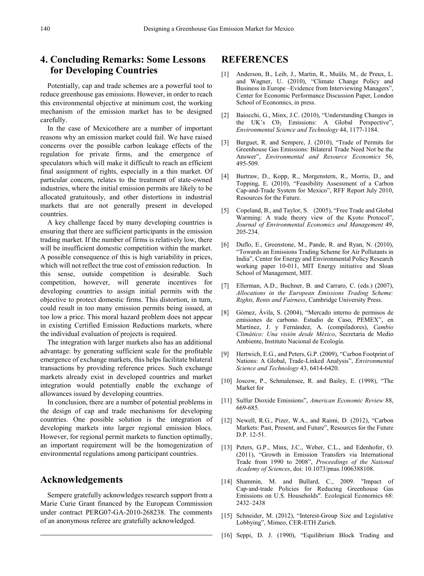# **4. Concluding Remarks: Some Lessons for Developing Countries**

Potentially, cap and trade schemes are a powerful tool to reduce greenhouse gas emissions. However, in order to reach this environmental objective at minimum cost, the working mechanism of the emission market has to be designed carefully.

In the case of Mexicothere are a number of important reasons why an emission market could fail. We have raised concerns over the possible carbon leakage effects of the regulation for private firms, and the emergence of speculators which will make it difficult to reach an efficient final assignment of rights, especially in a thin market. Of particular concern, relates to the treatment of state-owned industries, where the initial emission permits are likely to be allocated gratuitously, and other distortions in industrial markets that are not generally present in developed countries.

A key challenge faced by many developing countries is ensuring that there are sufficient participants in the emission trading market. If the number of firms is relatively low, there will be insufficient domestic competition within the market. A possible consequence of this is high variability in prices, which will not reflect the true cost of emission reduction. In this sense, outside competition is desirable. Such competition, however, will generate incentives for developing countries to assign initial permits with the objective to protect domestic firms. This distortion, in turn, could result in too many emission permits being issued, at too low a price. This moral hazard problem does not appear in existing Certified Emission Reductions markets, where the individual evaluation of projects is required.

The integration with larger markets also has an additional advantage: by generating sufficient scale for the profitable emergence of exchange markets, this helps facilitate bilateral transactions by providing reference prices. Such exchange markets already exist in developed countries and market integration would potentially enable the exchange of allowances issued by developing countries.

In conclusion, there are a number of potential problems in the design of cap and trade mechanisms for developing countries. One possible solution is the integration of developing markets into larger regional emission blocs. However, for regional permit markets to function optimally, an important requirement will be the homogenization of environmental regulations among participant countries.

### **Acknowledgements**

Sempere gratefully acknowledges research support from a Marie Curie Grant financed by the European Commission under contract PERG07-GA-2010-268238. The comments of an anonymous referee are gratefully acknowledged.

### **REFERENCES**

- [1] Anderson, B., Leib, J., Martin, R., Muûls, M., de Preux, L. and Wagner, U. (2010), "Climate Change Policy and Business in Europe –Evidence from Interviewing Managers", Center for Economic Performance Discussion Paper, London School of Economics, in press.
- [2] Baiocchi, G., Minx, J.C. (2010), "Understanding Changes in the UK's  $CO<sub>2</sub>$  Emissions: A Global Perspective", *Environmental Science and Technology* 44, 1177-1184.
- [3] Burguet, R. and Sempere, J. (2010), "Trade of Permits for Greenhouse Gas Emissions: Bilateral Trade Need Not be the Answer", *Environmental and Resource Economics* 56, 495-509.
- [4] Burtraw, D., Kopp, R., Morgenstern, R., Morris, D., and Topping, E. (2010), "Feasibility Assessment of a Carbon Cap-and-Trade System for Mexico", RFF Report July 2010, Resources for the Future.
- [5] Copeland, B., and Taylor, S. (2005), "Free Trade and Global Warming: A trade theory view of the Kyoto Protocol", *Journal of Environmental Economics and Management* 49, 205-234.
- [6] Duflo, E., Greenstone, M., Pande, R. and Ryan, N. (2010), "Towards an Emissions Trading Scheme for Air Pollutants in India", Center for Energy and Environmental Policy Research working paper 10-011, MIT Energy initiative and Sloan School of Management, MIT.
- [7] Ellerman, A.D., Buchner, B. and Carraro, C. (eds.) (2007), *Allocations in the European Emissions Trading Scheme: Rights, Rents and Fairness*, Cambridge University Press.
- [8] Gómez, Ávila, S. (2004), "Mercado interno de permisos de emisiones de carbono. Estudio de Caso, PEMEX", en Martínez, J. y Fernández, A. (compiladores), *Cambio Climático: Una visión desde México*, Secretaría de Medio Ambiente, Instituto Nacional de Ecología.
- [9] Hertwich, E.G., and Peters, G.P. (2009), "Carbon Footprint of Nations: A Global, Trade-Linked Analysis", *Environmental Science and Technology* 43, 6414-6420.
- [10] Joscow, P., Schmalensee, R. and Bailey, E. (1998), "The Market for
- [11] Sulfur Dioxide Emissions", *American Economic Review* 88, 669-685.
- [12] Newell, R.G., Pizer, W.A., and Raimi, D. (2012), "Carbon Markets: Past, Present, and Future", Resources for the Future D.P. 12-51.
- [13] Peters, G.P., Minx, J.C., Weber, C.L., and Edenhofer, O. (2011), "Growth in Emission Transfers via International Trade from 1990 to 2008", *Proceedings of the National Academy of Sciences*, doi: 10.1073/pnas.1006388108.
- [14] Shammin, M. and Bullard, C., 2009. "Impact of Cap‐and‐trade Policies for Reducing Greenhouse Gas Emissions on U.S. Households". Ecological Economics 68: 2432–2438
- [15] Schneider, M. (2012), "Interest-Group Size and Legislative Lobbying", Mimeo, CER-ETH Zurich.
- [16] Seppi, D. J. (1990), "Equilibrium Block Trading and